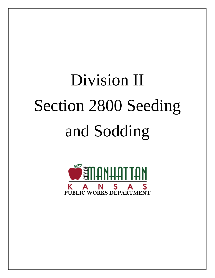# Division II Section 2800 Seeding and Sodding

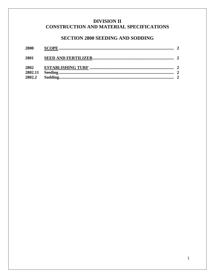### **DIVISION II** CONSTRUCTION AND MATERIAL SPECIFICATIONS

# **SECTION 2800 SEEDING AND SODDING**

| 2800    |  |
|---------|--|
| 2801    |  |
| 2802    |  |
| 2802.11 |  |
| 2802.2  |  |